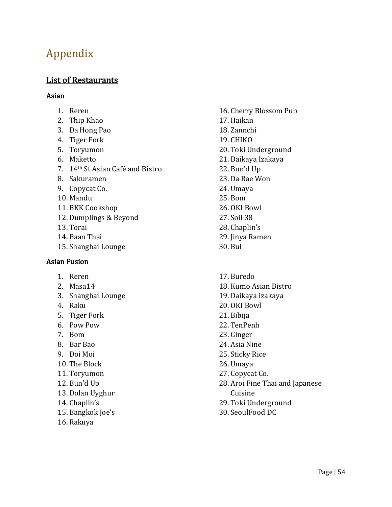# Appendix

## List of Restaurants

#### Asian

- 1. Reren
- 2. Thip Khao
- 3. Da Hong Pao
- 4. Tiger Fork
- 5. Toryumon
- 6. Maketto
- 7. 14<sup>th</sup> St Asian Café and Bistro
- 8. Sakuramen
- 9. Copycat Co.
- 10. Mandu
- 11. BKK Cookshop
- 12. Dumplings & Beyond
- 13. Torai
- 14. Baan Thai
- 15. Shanghai Lounge

#### **Asian Fusion**

- 1. Reren
- 2. Masa14
- 3. Shanghai Lounge
- 4. Raku
- 5. Tiger Fork
- 6. Pow Pow
- 7. Bom
- 8. Bar Bao
- 9. Doi Moi
- 10. The Block
- 11. Toryumon
- 12. Bun'd Up
- 13. Dolan Uyghur
- 14. Chaplin's
- 15. Bangkok Joe's
- 16. Rakuya
- 16. Cherry Blossom Pub 17. Haikan 18. Zannchi 19. CHIKO 20. Toki Underground 21. Daikaya Izakaya 22. Bun'd Up 23. Da Rae Won 24. Umaya 25. Bom 26. OKI Bowl 27. Soil 38 28. Chaplin's 29. Jinya Ramen 30. Bul
- 17. Buredo 18. Kumo Asian Bistro 19. Daikaya Izakaya 20. OKI Bowl 21. Bibija
- 22. TenPenh
- 23. Ginger
- 24. Asia Nine
- 25. Sticky Rice
- 26. Umaya
- 27. Copycat Co.
- 28. Aroi Fine Thai and Japanese Cuisine
- 29. Toki Underground
- 30. SeoulFood DC